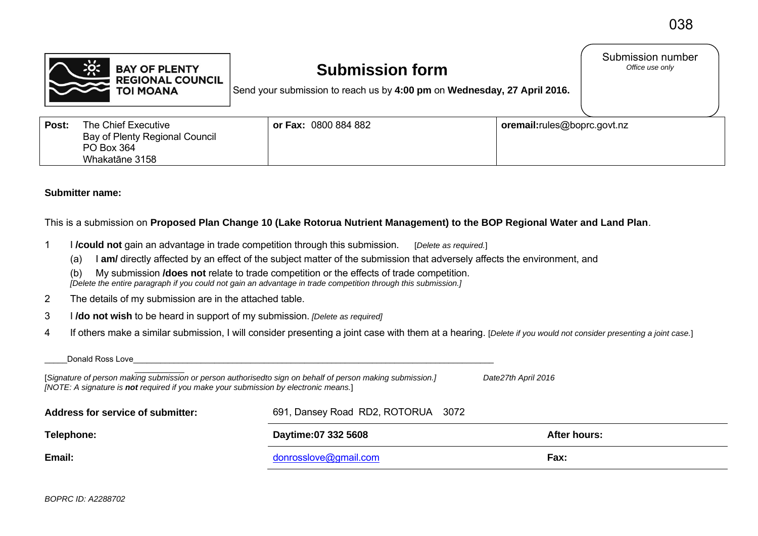Submission number<br>Office use only



## **Submission form**

Send your submission to reach us by **4:00 pm** on **Wednesday, 27 April 2016.**

| Post: | The Chief Executive<br>Bay of Plenty Regional Council<br>PO Box 364 | or Fax: 0800 884 882 | oremail:rules@boprc.govt.nz |
|-------|---------------------------------------------------------------------|----------------------|-----------------------------|
|       | Whakatāne 3158                                                      |                      |                             |

## **Submitter name:**

This is a submission on **Proposed Plan Change 10 (Lake Rotorua Nutrient Management) to the BOP Regional Water and Land Plan**.

- 1 I **/could not** gain an advantage in trade competition through this submission. [*Delete as required.*]
	- (a) I **am/** directly affected by an effect of the subject matter of the submission that adversely affects the environment, and
	- (b) My submission **/does not** relate to trade competition or the effects of trade competition.  *[Delete the entire paragraph if you could not gain an advantage in trade competition through this submission.]*
- 2 The details of my submission are in the attached table.
- 3 I **/do not wish** to be heard in support of my submission. *[Delete as required]*
- 4 If others make a similar submission, I will consider presenting a joint case with them at a hearing. [*Delete if you would not consider presenting a joint case.*]

| Email:                                                                                                                                                                                             | donrosslove@gmail.com              | Fax:         |
|----------------------------------------------------------------------------------------------------------------------------------------------------------------------------------------------------|------------------------------------|--------------|
| Telephone:                                                                                                                                                                                         | Daytime:07 332 5608                | After hours: |
| Address for service of submitter:                                                                                                                                                                  | 691, Dansey Road RD2, ROTORUA 3072 |              |
| [Signature of person making submission or person authorisedto sign on behalf of person making submission.]<br>[NOTE: A signature is not required if you make your submission by electronic means.] | Date27th April 2016                |              |
| Donald Ross Love                                                                                                                                                                                   |                                    |              |